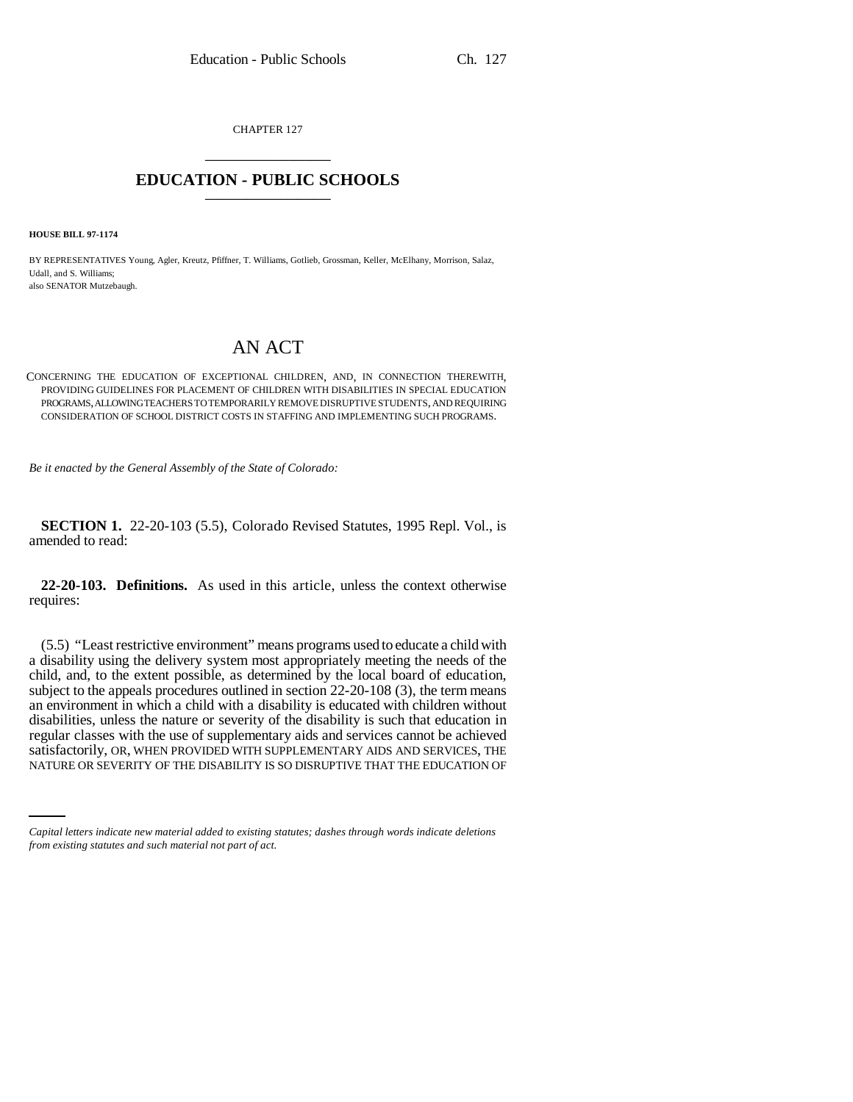CHAPTER 127 \_\_\_\_\_\_\_\_\_\_\_\_\_\_\_

## **EDUCATION - PUBLIC SCHOOLS** \_\_\_\_\_\_\_\_\_\_\_\_\_\_\_

**HOUSE BILL 97-1174**

BY REPRESENTATIVES Young, Agler, Kreutz, Pfiffner, T. Williams, Gotlieb, Grossman, Keller, McElhany, Morrison, Salaz, Udall, and S. Williams; also SENATOR Mutzebaugh.

## AN ACT

CONCERNING THE EDUCATION OF EXCEPTIONAL CHILDREN, AND, IN CONNECTION THEREWITH, PROVIDING GUIDELINES FOR PLACEMENT OF CHILDREN WITH DISABILITIES IN SPECIAL EDUCATION PROGRAMS, ALLOWING TEACHERS TO TEMPORARILY REMOVE DISRUPTIVE STUDENTS, AND REQUIRING CONSIDERATION OF SCHOOL DISTRICT COSTS IN STAFFING AND IMPLEMENTING SUCH PROGRAMS.

*Be it enacted by the General Assembly of the State of Colorado:*

**SECTION 1.** 22-20-103 (5.5), Colorado Revised Statutes, 1995 Repl. Vol., is amended to read:

**22-20-103. Definitions.** As used in this article, unless the context otherwise requires:

satisfactorily, OR, WHEN PROVIDED WITH SUPPLEMENTARY AIDS AND SERVICES, THE (5.5) "Least restrictive environment" means programs used to educate a child with a disability using the delivery system most appropriately meeting the needs of the child, and, to the extent possible, as determined by the local board of education, subject to the appeals procedures outlined in section 22-20-108 (3), the term means an environment in which a child with a disability is educated with children without disabilities, unless the nature or severity of the disability is such that education in regular classes with the use of supplementary aids and services cannot be achieved NATURE OR SEVERITY OF THE DISABILITY IS SO DISRUPTIVE THAT THE EDUCATION OF

*Capital letters indicate new material added to existing statutes; dashes through words indicate deletions from existing statutes and such material not part of act.*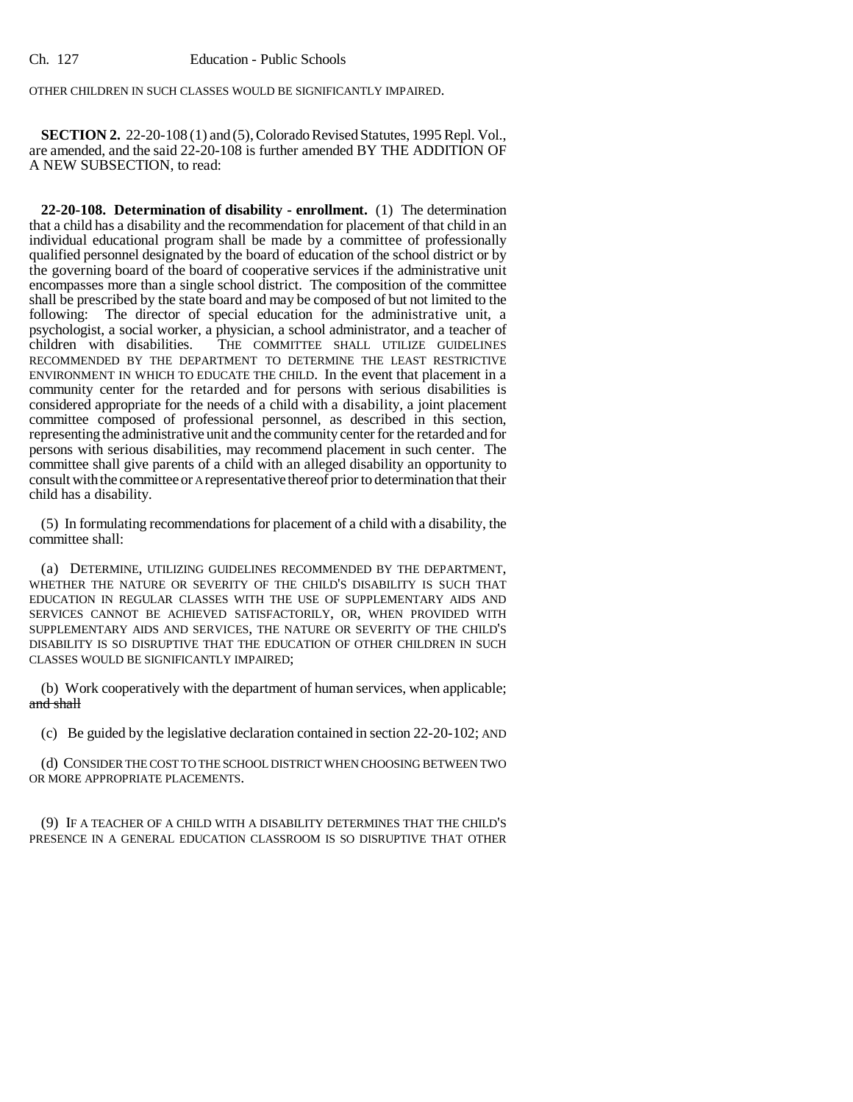OTHER CHILDREN IN SUCH CLASSES WOULD BE SIGNIFICANTLY IMPAIRED.

**SECTION 2.** 22-20-108 (1) and (5), Colorado Revised Statutes, 1995 Repl. Vol., are amended, and the said 22-20-108 is further amended BY THE ADDITION OF A NEW SUBSECTION, to read:

**22-20-108. Determination of disability - enrollment.** (1) The determination that a child has a disability and the recommendation for placement of that child in an individual educational program shall be made by a committee of professionally qualified personnel designated by the board of education of the school district or by the governing board of the board of cooperative services if the administrative unit encompasses more than a single school district. The composition of the committee shall be prescribed by the state board and may be composed of but not limited to the following: The director of special education for the administrative unit, a psychologist, a social worker, a physician, a school administrator, and a teacher of THE COMMITTEE SHALL UTILIZE GUIDELINES RECOMMENDED BY THE DEPARTMENT TO DETERMINE THE LEAST RESTRICTIVE ENVIRONMENT IN WHICH TO EDUCATE THE CHILD. In the event that placement in a community center for the retarded and for persons with serious disabilities is considered appropriate for the needs of a child with a disability, a joint placement committee composed of professional personnel, as described in this section, representing the administrative unit and the community center for the retarded and for persons with serious disabilities, may recommend placement in such center. The committee shall give parents of a child with an alleged disability an opportunity to consult with the committee or A representative thereof prior to determination that their child has a disability.

(5) In formulating recommendations for placement of a child with a disability, the committee shall:

(a) DETERMINE, UTILIZING GUIDELINES RECOMMENDED BY THE DEPARTMENT, WHETHER THE NATURE OR SEVERITY OF THE CHILD'S DISABILITY IS SUCH THAT EDUCATION IN REGULAR CLASSES WITH THE USE OF SUPPLEMENTARY AIDS AND SERVICES CANNOT BE ACHIEVED SATISFACTORILY, OR, WHEN PROVIDED WITH SUPPLEMENTARY AIDS AND SERVICES, THE NATURE OR SEVERITY OF THE CHILD'S DISABILITY IS SO DISRUPTIVE THAT THE EDUCATION OF OTHER CHILDREN IN SUCH CLASSES WOULD BE SIGNIFICANTLY IMPAIRED;

(b) Work cooperatively with the department of human services, when applicable; and shall

(c) Be guided by the legislative declaration contained in section 22-20-102; AND

(d) CONSIDER THE COST TO THE SCHOOL DISTRICT WHEN CHOOSING BETWEEN TWO OR MORE APPROPRIATE PLACEMENTS.

(9) IF A TEACHER OF A CHILD WITH A DISABILITY DETERMINES THAT THE CHILD'S PRESENCE IN A GENERAL EDUCATION CLASSROOM IS SO DISRUPTIVE THAT OTHER